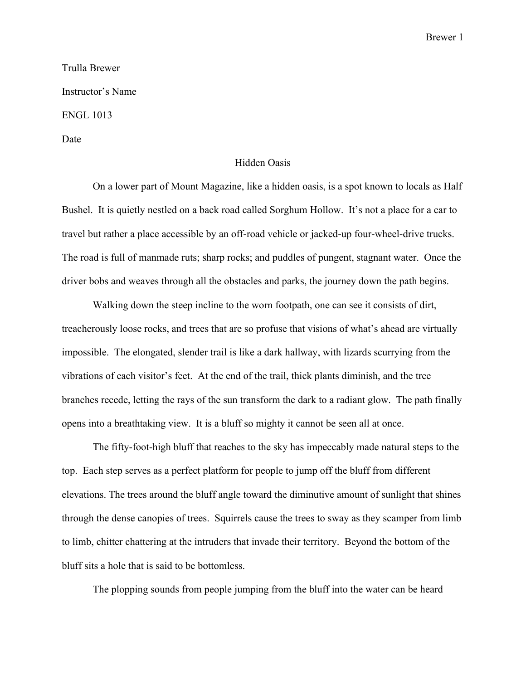Brewer 1

Trulla Brewer Instructor's Name ENGL 1013 Date

## Hidden Oasis

On a lower part of Mount Magazine, like a hidden oasis, is a spot known to locals as Half Bushel. It is quietly nestled on a back road called Sorghum Hollow. It's not a place for a car to travel but rather a place accessible by an off-road vehicle or jacked-up four-wheel-drive trucks. The road is full of manmade ruts; sharp rocks; and puddles of pungent, stagnant water. Once the driver bobs and weaves through all the obstacles and parks, the journey down the path begins.

Walking down the steep incline to the worn footpath, one can see it consists of dirt, treacherously loose rocks, and trees that are so profuse that visions of what's ahead are virtually impossible. The elongated, slender trail is like a dark hallway, with lizards scurrying from the vibrations of each visitor's feet. At the end of the trail, thick plants diminish, and the tree branches recede, letting the rays of the sun transform the dark to a radiant glow. The path finally opens into a breathtaking view. It is a bluff so mighty it cannot be seen all at once.

The fifty-foot-high bluff that reaches to the sky has impeccably made natural steps to the top. Each step serves as a perfect platform for people to jump off the bluff from different elevations. The trees around the bluff angle toward the diminutive amount of sunlight that shines through the dense canopies of trees. Squirrels cause the trees to sway as they scamper from limb to limb, chitter chattering at the intruders that invade their territory. Beyond the bottom of the bluff sits a hole that is said to be bottomless.

The plopping sounds from people jumping from the bluff into the water can be heard